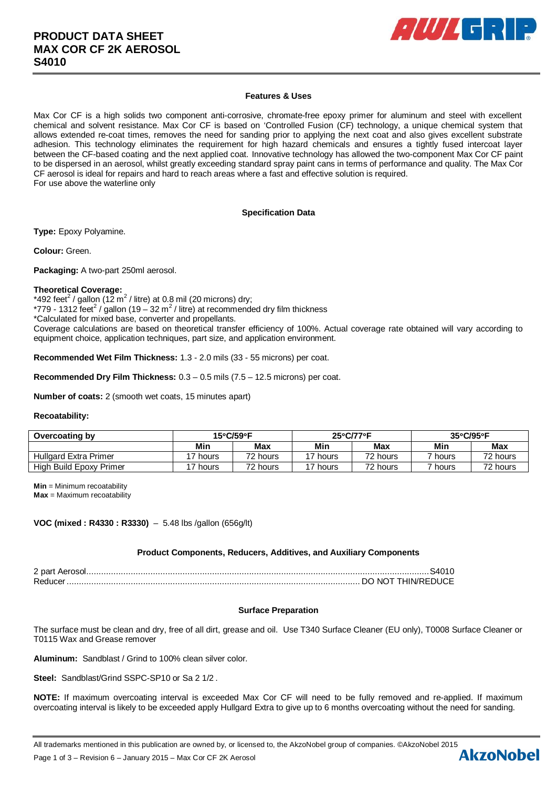

### **Features & Uses**

Max Cor CF is a high solids two component anti-corrosive, chromate-free epoxy primer for aluminum and steel with excellent chemical and solvent resistance. Max Cor CF is based on 'Controlled Fusion (CF) technology, a unique chemical system that allows extended re-coat times, removes the need for sanding prior to applying the next coat and also gives excellent substrate adhesion. This technology eliminates the requirement for high hazard chemicals and ensures a tightly fused intercoat layer between the CF-based coating and the next applied coat. Innovative technology has allowed the two-component Max Cor CF paint to be dispersed in an aerosol, whilst greatly exceeding standard spray paint cans in terms of performance and quality. The Max Cor CF aerosol is ideal for repairs and hard to reach areas where a fast and effective solution is required. For use above the waterline only

### **Specification Data**

**Type:** Epoxy Polyamine.

**Colour:** Green.

**Packaging:** A two-part 250ml aerosol.

### **Theoretical Coverage:**

\*492 feet<sup>2</sup> / gallon (12 m<sup>2</sup> / litre) at 0.8 mil (20 microns) dry; \*779 - 1312 feet<sup>2</sup> / gallon (19 - 32 m<sup>2</sup> / litre) at recommended dry film thickness \*Calculated for mixed base, converter and propellants. Coverage calculations are based on theoretical transfer efficiency of 100%. Actual coverage rate obtained will vary according to equipment choice, application techniques, part size, and application environment.

**Recommended Wet Film Thickness:** 1.3 - 2.0 mils (33 - 55 microns) per coat.

**Recommended Dry Film Thickness:** 0.3 – 0.5 mils (7.5 – 12.5 microns) per coat.

**Number of coats:** 2 (smooth wet coats, 15 minutes apart)

### **Recoatability:**

| Overcoating by          | 15°C/59°F |            | $25^{\circ}$ C/77 $^{\circ}$ F |          | $35^{\circ}$ C/95 $^{\circ}$ F |          |
|-------------------------|-----------|------------|--------------------------------|----------|--------------------------------|----------|
|                         | Min       | <b>Max</b> | Min                            | Max      | Min                            | Max      |
| Hullgard Extra Primer   | '7 hours  | 72 hours   | '7 hours                       | 72 hours | hours                          | 72 hours |
| High Build Epoxy Primer | 17 hours  | 72 hours   | '7 hours                       | 72 hours | <sup>ㄱ</sup> hours             | 72 hours |

**Min** = Minimum recoatability **Max** = Maximum recoatability

**VOC (mixed : R4330 : R3330)** – 5.48 lbs /gallon (656g/lt)

### **Product Components, Reducers, Additives, and Auxiliary Components**

2 part Aerosol ........................................................................................................................................... S4010 Reducer ....................................................................................................................... DO NOT THIN/REDUCE

# **Surface Preparation**

The surface must be clean and dry, free of all dirt, grease and oil. Use T340 Surface Cleaner (EU only), T0008 Surface Cleaner or T0115 Wax and Grease remover

**Aluminum:** Sandblast / Grind to 100% clean silver color*.*

**Steel:** Sandblast/Grind SSPC-SP10 or Sa 2 1/2 .

**NOTE:** If maximum overcoating interval is exceeded Max Cor CF will need to be fully removed and re-applied. If maximum overcoating interval is likely to be exceeded apply Hullgard Extra to give up to 6 months overcoating without the need for sanding.

All trademarks mentioned in this publication are owned by, or licensed to, the AkzoNobel group of companies. ©AkzoNobel 2015<br>Page 1 of 3 – Revision 6 – January 2015 – Max Cor CE 2K Aerosol

Page 1 of 3 – Revision 6 – January 2015 – Max Cor CF 2K Aerosol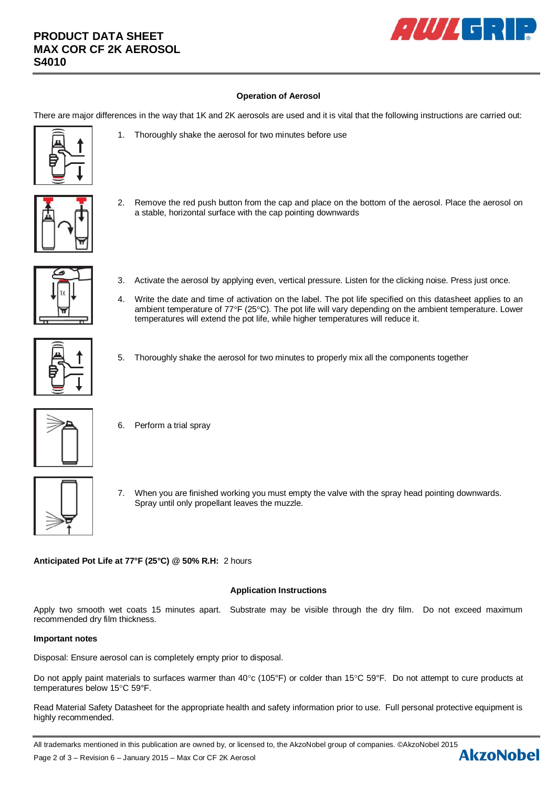# **PRODUCT DATA SHEET MAX COR CF 2K AEROSOL S4010**



# **Operation of Aerosol**

There are major differences in the way that 1K and 2K aerosols are used and it is vital that the following instructions are carried out:

- 
- 1. Thoroughly shake the aerosol for two minutes before use
- 
- 2. Remove the red push button from the cap and place on the bottom of the aerosol. Place the aerosol on a stable, horizontal surface with the cap pointing downwards



- 3. Activate the aerosol by applying even, vertical pressure. Listen for the clicking noise. Press just once.
- 4. Write the date and time of activation on the label. The pot life specified on this datasheet applies to an ambient temperature of 77°F (25°C). The pot life will vary depending on the ambient temperature. Lower temperatures will extend the pot life, while higher temperatures will reduce it.



5. Thoroughly shake the aerosol for two minutes to properly mix all the components together



- 6. Perform a trial spray
- 7. When you are finished working you must empty the valve with the spray head pointing downwards. Spray until only propellant leaves the muzzle.

**Anticipated Pot Life at 77°F (25°C) @ 50% R.H:** 2 hours

### **Application Instructions**

Apply two smooth wet coats 15 minutes apart. Substrate may be visible through the dry film. Do not exceed maximum recommended dry film thickness.

### **Important notes**

Disposal: Ensure aerosol can is completely empty prior to disposal.

Do not apply paint materials to surfaces warmer than 40°c (105°F) or colder than 15°C 59°F. Do not attempt to cure products at temperatures below 15°C 59°F.

Read Material Safety Datasheet for the appropriate health and safety information prior to use. Full personal protective equipment is highly recommended.

All trademarks mentioned in this publication are owned by, or licensed to, the AkzoNobel group of companies. ©AkzoNobel 2015<br>Page 2 of 3 – Revision 6 – January 2015 – Max Cor CE 2K Aerosol